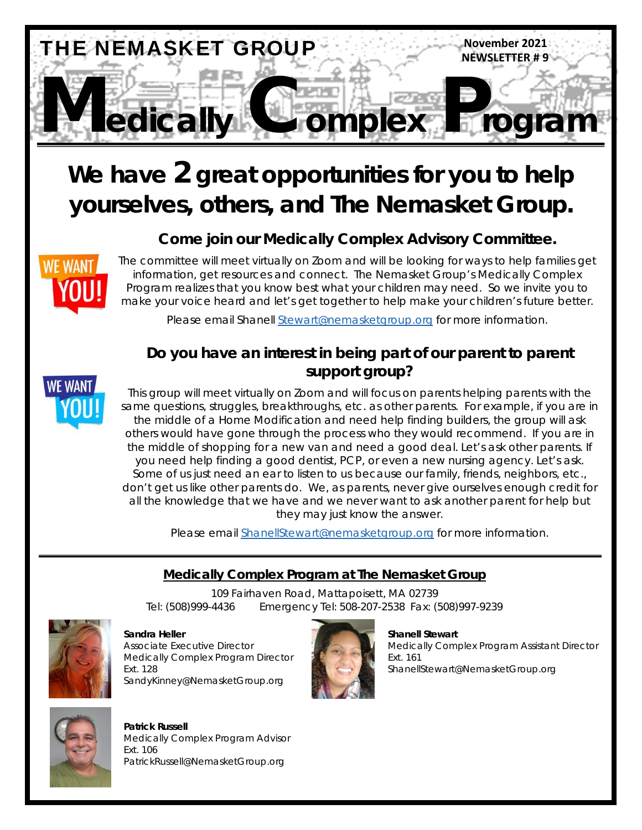

## **We have 2 great opportunities for you to help yourselves, others, and The Nemasket Group.**

## **Come join our Medically Complex Advisory Committee.**



The committee will meet virtually on Zoom and will be looking for ways to help families get information, get resources and connect. The Nemasket Group's Medically Complex Program realizes that you know best what your children may need. So we invite you to make your voice heard and let's get together to help make your children's future better.

Please email Shanell Stewart@nemasketgroup.org for more information.

### **Do you have an interest in being part of our parent to parent support group?**



This group will meet virtually on Zoom and will focus on parents helping parents with the same questions, struggles, breakthroughs, etc. as other parents. For example, if you are in the middle of a Home Modification and need help finding builders, the group will ask others would have gone through the process who they would recommend. If you are in the middle of shopping for a new van and need a good deal. Let's ask other parents. If you need help finding a good dentist, PCP, or even a new nursing agency. Let's ask. Some of us just need an ear to listen to us because our family, friends, neighbors, etc., don't get us like other parents do. We, as parents, never give ourselves enough credit for all the knowledge that we have and we never want to ask another parent for help but they may just know the answer.

Please email ShanellStewart@nemasketgroup.org for more information.

#### **Medically Complex Program at The Nemasket Group**

109 Fairhaven Road, Mattapoisett, MA 02739 Tel: (508)999-4436 Emergency Tel: 508-207-2538 Fax: (508)997-9239



**Sandra Heller Shanell Stewart Associate Executive Director Conducts of Conducts Associate Executive Director** Medically Complex Program Director **Ext. 161** Ext. 161 SandyKinney@NemasketGroup.org



Medically Complex Program Assistant Director Ext. 128 ShanellStewart@NemasketGroup.org



 **Patrick Russell** Medically Complex Program Advisor Ext. 106 PatrickRussell@NemasketGroup.org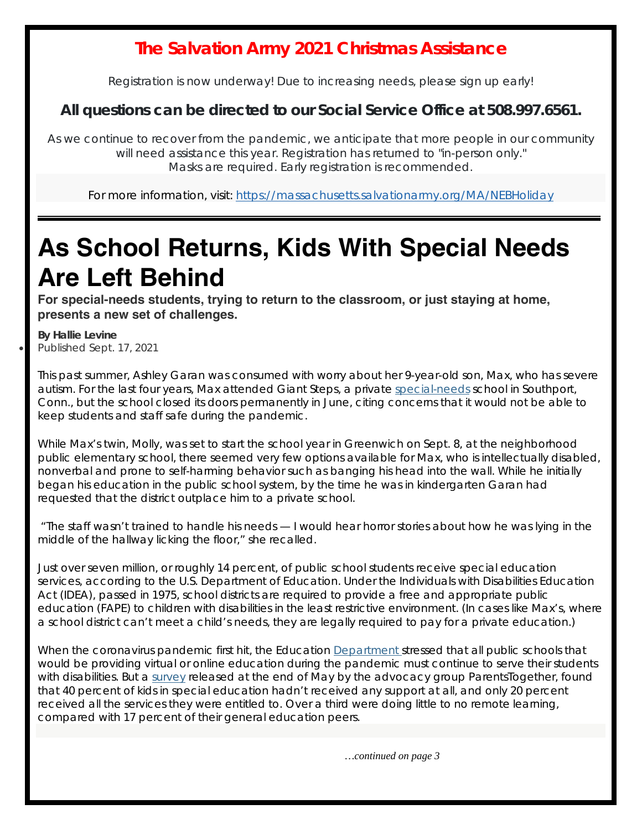## **The Salvation Army 2021 Christmas Assistance**

Registration is now underway! Due to increasing needs, please sign up early!

### **All questions can be directed to our Social Service Office at 508.997.6561.**

As we continue to recover from the pandemic, we anticipate that more people in our community will need assistance this year. Registration has returned to "in-person only." Masks are required. Early registration is recommended.

For more information, visit: https://massachusetts.salvationarmy.org/MA/NEBHoliday

## **As School Returns, Kids With Special Needs Are Left Behind**

**For special-needs students, trying to return to the classroom, or just staying at home, presents a new set of challenges.** 

**By Hallie Levine**  Published Sept. 17, 2021

This past summer, Ashley Garan was consumed with worry about her 9-year-old son, Max, who has severe autism. For the last four years, Max attended Giant Steps, a private special-needs school in Southport, Conn., but the school closed its doors permanently in June, citing concerns that it would not be able to keep students and staff safe during the pandemic.

While Max's twin, Molly, was set to start the school year in Greenwich on Sept. 8, at the neighborhood public elementary school, there seemed very few options available for Max, who is intellectually disabled, nonverbal and prone to self-harming behavior such as banging his head into the wall. While he initially began his education in the public school system, by the time he was in kindergarten Garan had requested that the district outplace him to a private school.

 "The staff wasn't trained to handle his needs — I would hear horror stories about how he was lying in the middle of the hallway licking the floor," she recalled.

Just over seven million, or roughly 14 percent, of public school students receive special education services, according to the U.S. Department of Education. Under the Individuals with Disabilities Education Act (IDEA), passed in 1975, school districts are required to provide a free and appropriate public education (FAPE) to children with disabilities in the least restrictive environment. (In cases like Max's, where a school district can't meet a child's needs, they are legally required to pay for a private education.)

When the coronavirus pandemic first hit, the Education Department stressed that all public schools that would be providing virtual or online education during the pandemic must continue to serve their students with disabilities. But a survey released at the end of May by the advocacy group ParentsTogether, found that 40 percent of kids in special education hadn't received any support at all, and only 20 percent received all the services they were entitled to. Over a third were doing little to no remote learning, compared with 17 percent of their general education peers.

*…continued on page 3*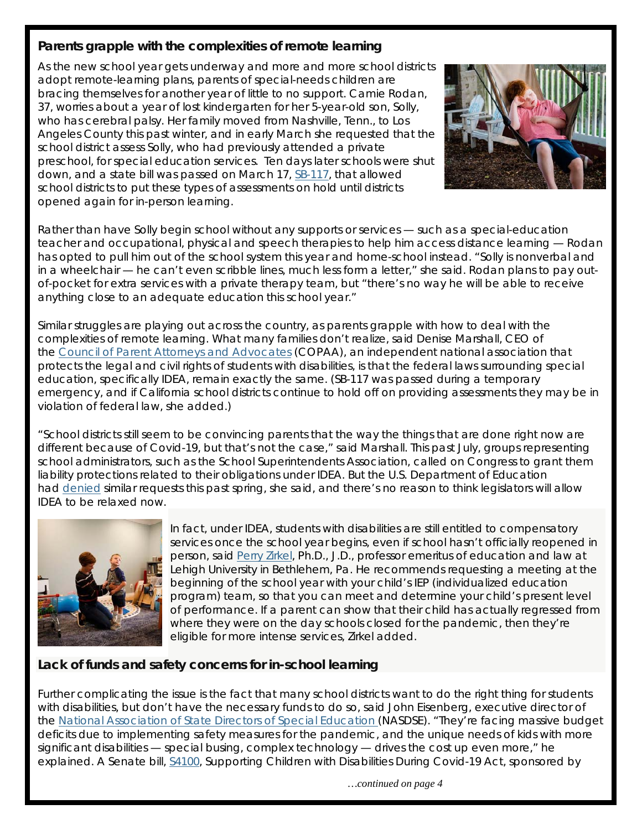#### **Parents grapple with the complexities of remote learning**

As the new school year gets underway and more and more school districts adopt remote-learning plans, parents of special-needs children are bracing themselves for another year of little to no support. Camie Rodan, 37, worries about a year of lost kindergarten for her 5-year-old son, Solly, who has cerebral palsy. Her family moved from Nashville, Tenn., to Los Angeles County this past winter, and in early March she requested that the school district assess Solly, who had previously attended a private preschool, for special education services. Ten days later schools were shut down, and a state bill was passed on March 17, SB-117, that allowed school districts to put these types of assessments on hold until districts opened again for in-person learning.



Rather than have Solly begin school without any supports or services — such as a special-education teacher and occupational, physical and speech therapies to help him access distance learning — Rodan has opted to pull him out of the school system this year and home-school instead. "Solly is nonverbal and in a wheelchair — he can't even scribble lines, much less form a letter," she said. Rodan plans to pay outof-pocket for extra services with a private therapy team, but "there's no way he will be able to receive anything close to an adequate education this school year."

Similar struggles are playing out across the country, as parents grapple with how to deal with the complexities of remote learning. What many families don't realize, said Denise Marshall, CEO of the Council of Parent Attorneys and Advocates (COPAA), an independent national association that protects the legal and civil rights of students with disabilities, is that the federal laws surrounding special education, specifically IDEA, remain exactly the same. (SB-117 was passed during a temporary emergency, and if California school districts continue to hold off on providing assessments they may be in violation of federal law, she added.)

"School districts still seem to be convincing parents that the way the things that are done right now are different because of Covid-19, but that's not the case," said Marshall. This past July, groups representing school administrators, such as the School Superintendents Association, called on Congress to grant them liability protections related to their obligations under IDEA. But the U.S. Department of Education had denied similar requests this past spring, she said, and there's no reason to think legislators will allow IDEA to be relaxed now.



In fact, under IDEA, students with disabilities are still entitled to compensatory services once the school year begins, even if school hasn't officially reopened in person, said Perry Zirkel, Ph.D., J.D., professor emeritus of education and law at Lehigh University in Bethlehem, Pa. He recommends requesting a meeting at the beginning of the school year with your child's IEP (individualized education program) team, so that you can meet and determine your child's present level of performance. If a parent can show that their child has actually regressed from where they were on the day schools closed for the pandemic, then they're eligible for more intense services, Zirkel added.

#### **Lack of funds and safety concerns for in-school learning**

Further complicating the issue is the fact that many school districts want to do the right thing for students with disabilities, but don't have the necessary funds to do so, said John Eisenberg, executive director of the National Association of State Directors of Special Education (NASDSE). "They're facing massive budget deficits due to implementing safety measures for the pandemic, and the unique needs of kids with more significant disabilities — special busing, complex technology — drives the cost up even more," he explained. A Senate bill, S4100, Supporting Children with Disabilities During Covid-19 Act, sponsored by

*…continued on page 4*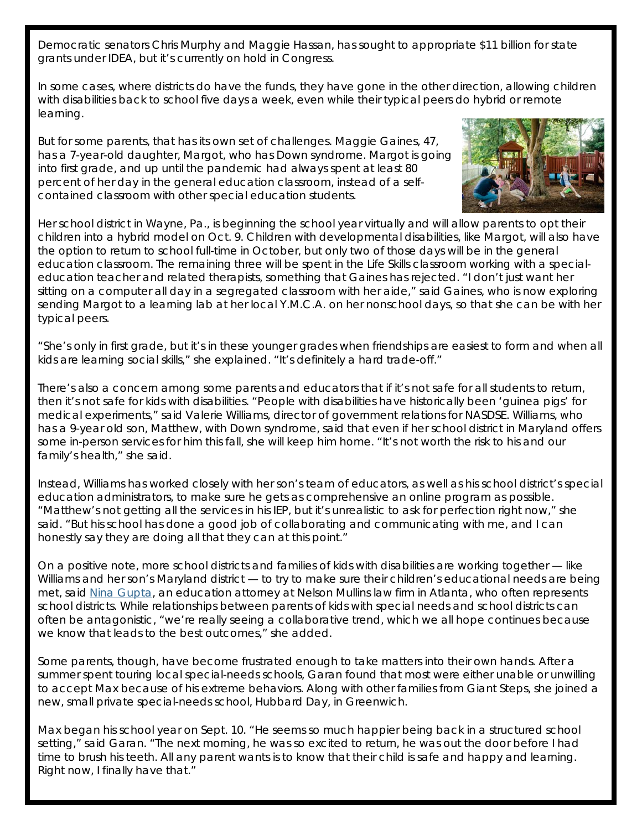Democratic senators Chris Murphy and Maggie Hassan, has sought to appropriate \$11 billion for state grants under IDEA, but it's currently on hold in Congress.

In some cases, where districts do have the funds, they have gone in the other direction, allowing children with disabilities back to school five days a week, even while their typical peers do hybrid or remote learning.

But for some parents, that has its own set of challenges. Maggie Gaines, 47, has a 7-year-old daughter, Margot, who has Down syndrome. Margot is going into first grade, and up until the pandemic had always spent at least 80 percent of her day in the general education classroom, instead of a selfcontained classroom with other special education students.



Her school district in Wayne, Pa., is beginning the school year virtually and will allow parents to opt their children into a hybrid model on Oct. 9. Children with developmental disabilities, like Margot, will also have the option to return to school full-time in October, but only two of those days will be in the general education classroom. The remaining three will be spent in the Life Skills classroom working with a specialeducation teacher and related therapists, something that Gaines has rejected. "I don't just want her sitting on a computer all day in a segregated classroom with her aide," said Gaines, who is now exploring sending Margot to a learning lab at her local Y.M.C.A. on her nonschool days, so that she can be with her typical peers.

"She's only in first grade, but it's in these younger grades when friendships are easiest to form and when all kids are learning social skills," she explained. "It's definitely a hard trade-off."

There's also a concern among some parents and educators that if it's not safe for all students to return, then it's not safe for kids with disabilities. "People with disabilities have historically been 'guinea pigs' for medical experiments," said Valerie Williams, director of government relations for NASDSE. Williams, who has a 9-year old son, Matthew, with Down syndrome, said that even if her school district in Maryland offers some in-person services for him this fall, she will keep him home. "It's not worth the risk to his and our family's health," she said.

Instead, Williams has worked closely with her son's team of educators, as well as his school district's special education administrators, to make sure he gets as comprehensive an online program as possible. "Matthew's not getting all the services in his IEP, but it's unrealistic to ask for perfection right now," she said. "But his school has done a good job of collaborating and communicating with me, and I can honestly say they are doing all that they can at this point."

On a positive note, more school districts and families of kids with disabilities are working together — like Williams and her son's Maryland district — to try to make sure their children's educational needs are being met, said Nina Gupta, an education attorney at Nelson Mullins law firm in Atlanta, who often represents school districts. While relationships between parents of kids with special needs and school districts can often be antagonistic, "we're really seeing a collaborative trend, which we all hope continues because we know that leads to the best outcomes," she added.

Some parents, though, have become frustrated enough to take matters into their own hands. After a summer spent touring local special-needs schools, Garan found that most were either unable or unwilling to accept Max because of his extreme behaviors. Along with other families from Giant Steps, she joined a new, small private special-needs school, Hubbard Day, in Greenwich.

Max began his school year on Sept. 10. "He seems so much happier being back in a structured school setting," said Garan. "The next morning, he was so excited to return, he was out the door before I had time to brush his teeth. All any parent wants is to know that their child is safe and happy and learning. Right now, I finally have that."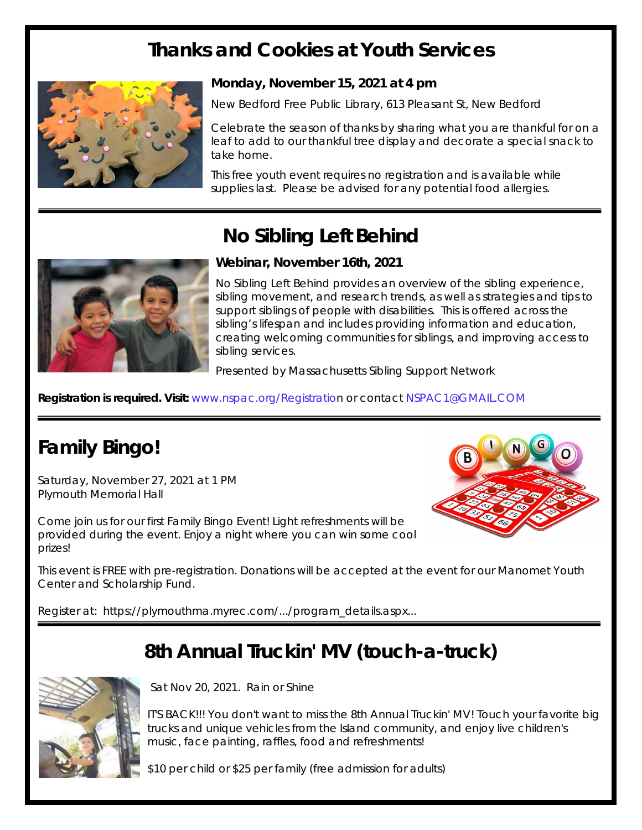## **Thanks and Cookies at Youth Services**



#### **Monday, November 15, 2021 at 4 pm**

New Bedford Free Public Library, 613 Pleasant St, New Bedford

Celebrate the season of thanks by sharing what you are thankful for on a leaf to add to our thankful tree display and decorate a special snack to take home.

This free youth event requires no registration and is available while supplies last. Please be advised for any potential food allergies.

## **No Sibling Left Behind**



#### **Webinar, November 16th, 2021**

No Sibling Left Behind provides an overview of the sibling experience, sibling movement, and research trends, as well as strategies and tips to support siblings of people with disabilities. This is offered across the sibling's lifespan and includes providing information and education, creating welcoming communities for siblings, and improving access to sibling services.

Presented by Massachusetts Sibling Support Network

**Registration is required. Visit:** www.nspac.org/Registration or contact NSPAC1@GMAIL.COM

## **Family Bingo!**

Saturday, November 27, 2021 at 1 PM Plymouth Memorial Hall

Come join us for our first Family Bingo Event! Light refreshments will be provided during the event. Enjoy a night where you can win some cool prizes!



This event is FREE with pre-registration. Donations will be accepted at the event for our Manomet Youth Center and Scholarship Fund.

Register at: https://plymouthma.myrec.com/.../program\_details.aspx...

## **8th Annual Truckin' MV (touch-a-truck)**



Sat Nov 20, 2021. Rain or Shine

IT'S BACK!!! You don't want to miss the 8th Annual Truckin' MV! Touch your favorite big trucks and unique vehicles from the Island community, and enjoy live children's music, face painting, raffles, food and refreshments!

\$10 per child or \$25 per family (free admission for adults)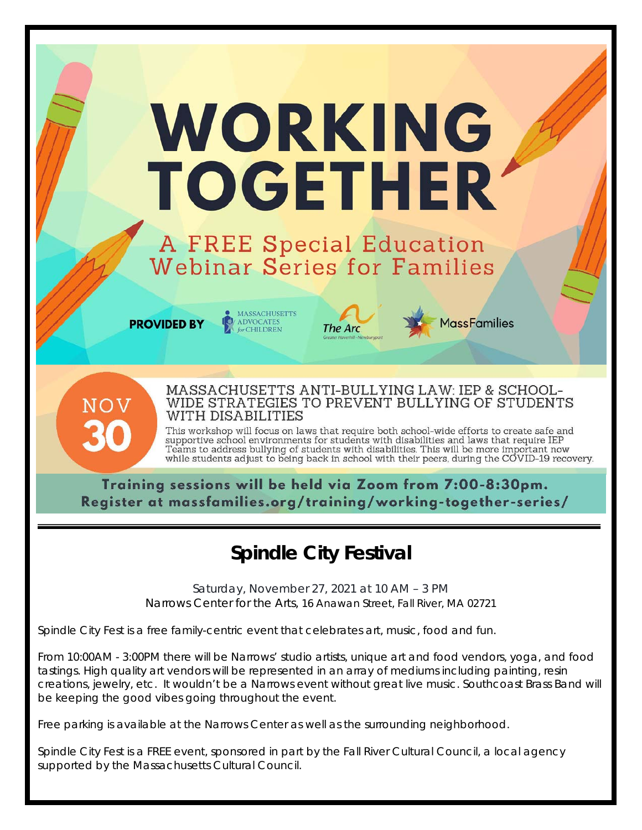

Saturday, November 27, 2021 at 10 AM – 3 PM Narrows Center for the Arts, 16 Anawan Street, Fall River, MA 02721

Spindle City Fest is a free family-centric event that celebrates art, music, food and fun.

From 10:00AM - 3:00PM there will be Narrows' studio artists, unique art and food vendors, yoga, and food tastings. High quality art vendors will be represented in an array of mediums including painting, resin creations, jewelry, etc. It wouldn't be a Narrows event without great live music. Southcoast Brass Band will be keeping the good vibes going throughout the event.

Free parking is available at the Narrows Center as well as the surrounding neighborhood.

Spindle City Fest is a FREE event, sponsored in part by the Fall River Cultural Council, a local agency supported by the Massachusetts Cultural Council.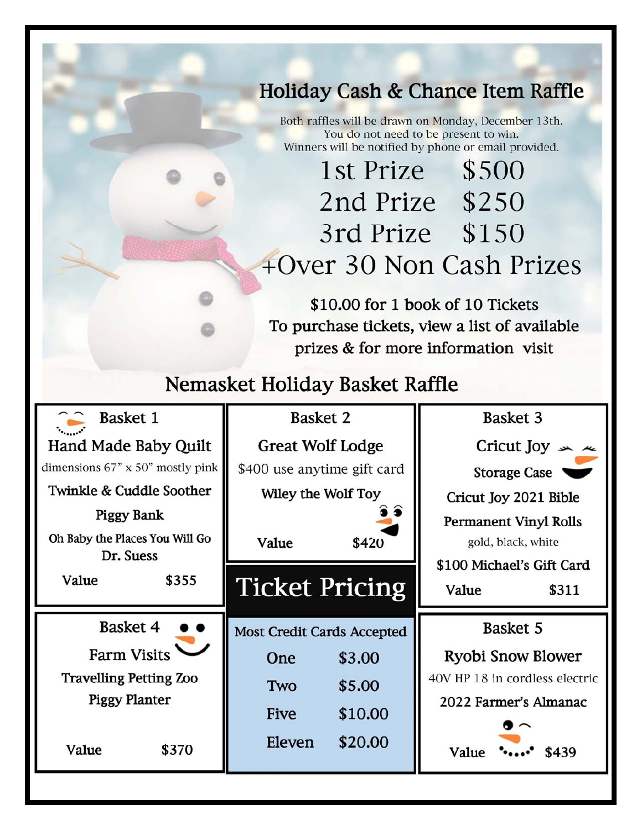|                                                                                                                                                            | 1st Prize<br>2nd Prize                                                                                             | Holiday Cash & Chance Item Raffle<br>Both raffles will be drawn on Monday, December 13th.<br>You do not need to be present to win.<br>Winners will be notified by phone or email provided.<br>\$500<br>\$250 |
|------------------------------------------------------------------------------------------------------------------------------------------------------------|--------------------------------------------------------------------------------------------------------------------|--------------------------------------------------------------------------------------------------------------------------------------------------------------------------------------------------------------|
|                                                                                                                                                            | 3rd Prize                                                                                                          | \$150<br>+Over 30 Non Cash Prizes                                                                                                                                                                            |
| \$10.00 for 1 book of 10 Tickets<br>To purchase tickets, view a list of available<br>prizes & for more information visit<br>Nemasket Holiday Basket Raffle |                                                                                                                    |                                                                                                                                                                                                              |
| <b>Basket 1</b>                                                                                                                                            | <b>Basket 2</b>                                                                                                    | Basket 3                                                                                                                                                                                                     |
| Hand Made Baby Quilt                                                                                                                                       |                                                                                                                    |                                                                                                                                                                                                              |
|                                                                                                                                                            | <b>Great Wolf Lodge</b>                                                                                            | Cricut Joy $\sim \sim$                                                                                                                                                                                       |
| dimensions 67" x 50" mostly pink                                                                                                                           | \$400 use anytime gift card                                                                                        | <b>Storage Case</b>                                                                                                                                                                                          |
| Twinkle & Cuddle Soother                                                                                                                                   | Wiley the Wolf Toy                                                                                                 | Cricut Joy 2021 Bible                                                                                                                                                                                        |
| Piggy Bank<br>Oh Baby the Places You Will Go                                                                                                               | \$420<br>Value                                                                                                     | <b>Permanent Vinyl Rolls</b><br>gold, black, white                                                                                                                                                           |
| Dr. Suess<br>Value<br>\$355                                                                                                                                | <b>Ticket Pricing</b>                                                                                              | \$100 Michael's Gift Card<br>Value<br>\$311                                                                                                                                                                  |
| <b>Basket 4</b><br><b>Farm Visits</b><br><b>Travelling Petting Zoo</b><br><b>Piggy Planter</b>                                                             | <b>Most Credit Cards Accepted</b><br>\$3.00<br>One<br>\$5.00<br>Two<br>\$10.00<br><b>Five</b><br>Eleven<br>\$20.00 | Basket 5<br>Ryobi Snow Blower<br>40V HP 18 in cordless electric<br>2022 Farmer's Almanac                                                                                                                     |